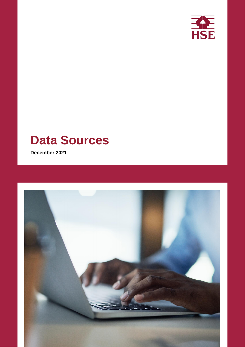

# **Data Sources**

**December 2021**

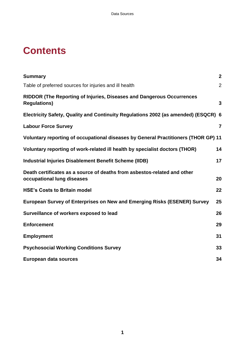### **Contents**

| <b>Summary</b>                                                                                         | $\mathbf{2}$   |
|--------------------------------------------------------------------------------------------------------|----------------|
| Table of preferred sources for injuries and ill health                                                 | $\overline{2}$ |
| <b>RIDDOR (The Reporting of Injuries, Diseases and Dangerous Occurrences</b><br><b>Regulations)</b>    | $\mathbf{3}$   |
| Electricity Safety, Quality and Continuity Regulations 2002 (as amended) (ESQCR) 6                     |                |
| <b>Labour Force Survey</b>                                                                             | $\overline{7}$ |
| Voluntary reporting of occupational diseases by General Practitioners (THOR GP) 11                     |                |
| Voluntary reporting of work-related ill health by specialist doctors (THOR)                            | 14             |
| <b>Industrial Injuries Disablement Benefit Scheme (IIDB)</b>                                           | 17             |
| Death certificates as a source of deaths from asbestos-related and other<br>occupational lung diseases | 20             |
| <b>HSE's Costs to Britain model</b>                                                                    | 22             |
| European Survey of Enterprises on New and Emerging Risks (ESENER) Survey                               | 25             |
| Surveillance of workers exposed to lead                                                                | 26             |
| <b>Enforcement</b>                                                                                     | 29             |
| <b>Employment</b>                                                                                      | 31             |
| <b>Psychosocial Working Conditions Survey</b>                                                          | 33             |
| European data sources                                                                                  | 34             |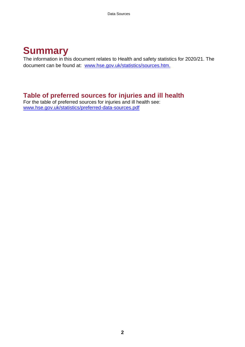### <span id="page-3-0"></span>**Summary**

The information in this document relates to Health and safety statistics for 2020/21. The document can be found at: [www.hse.gov.uk/statistics/sources.htm.](http://www.hse.gov.uk/statistics/sources.htm)

### <span id="page-3-1"></span>**Table of preferred sources for injuries and ill health**

For the table of preferred sources for injuries and ill health see: [www.hse.gov.uk/statistics/preferred-data-sources.pdf](http://www.hse.gov.uk/statistics/preferred-data-sources.pdf)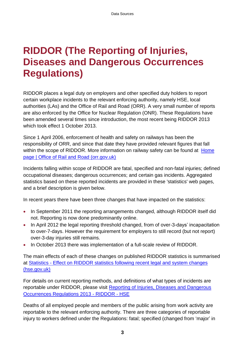### <span id="page-4-0"></span>**RIDDOR (The Reporting of Injuries, Diseases and Dangerous Occurrences Regulations)**

RIDDOR places a legal duty on employers and other specified duty holders to report certain workplace incidents to the relevant enforcing authority, namely HSE, local authorities (LAs) and the Office of Rail and Road (ORR). A very small number of reports are also enforced by the Office for Nuclear Regulation (ONR). These Regulations have been amended several times since introduction, the most recent being RIDDOR 2013 which took effect 1 October 2013.

Since 1 April 2006, enforcement of health and safety on railways has been the responsibility of ORR, and since that date they have provided relevant figures that fall within the scope of RIDDOR. More information on railway safety can be found at Home [page | Office of Rail and Road \(orr.gov.uk\)](https://www.orr.gov.uk/)

Incidents falling within scope of RIDDOR are fatal, specified and non-fatal injuries; defined occupational diseases; dangerous occurrences; and certain gas incidents. Aggregated statistics based on these reported incidents are provided in these 'statistics' web pages, and a brief description is given below.

In recent years there have been three changes that have impacted on the statistics:

- In September 2011 the reporting arrangements changed, although RIDDOR itself did not. Reporting is now done predominantly online.
- In April 2012 the legal reporting threshold changed, from of over-3-days' incapacitation to over-7-days. However the requirement for employers to still record (but not report) over-3-day injuries still remains.
- In October 2013 there was implementation of a full-scale review of RIDDOR.

The main effects of each of these changes on published RIDDOR statistics is summarised at Statistics - [Effect on RIDDOR statistics following recent legal and system changes](https://www.hse.gov.uk/statistics/riddor-notification.htm)  [\(hse.gov.uk\)](https://www.hse.gov.uk/statistics/riddor-notification.htm)

For details on current reporting methods, and definitions of what types of incidents are reportable under RIDDOR, please visit [Reporting of Injuries, Diseases and Dangerous](https://www.hse.gov.uk/riddor/index.htm)  [Occurrences Regulations 2013 -](https://www.hse.gov.uk/riddor/index.htm) RIDDOR - HSE

Deaths of all employed people and members of the public arising from work activity are reportable to the relevant enforcing authority. There are three categories of reportable injury to workers defined under the Regulations: fatal; specified (changed from 'major' in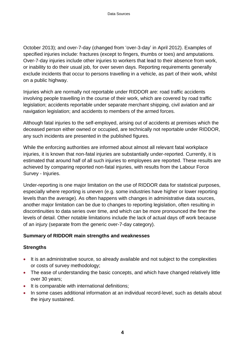October 2013); and over-7-day (changed from 'over-3-day' in April 2012). Examples of specified injuries include: fractures (except to fingers, thumbs or toes) and amputations. Over-7-day injuries include other injuries to workers that lead to their absence from work, or inability to do their usual job, for over seven days. Reporting requirements generally exclude incidents that occur to persons travelling in a vehicle, as part of their work, whilst on a public highway.

Injuries which are normally not reportable under RIDDOR are: road traffic accidents involving people travelling in the course of their work, which are covered by road traffic legislation; accidents reportable under separate merchant shipping, civil aviation and air navigation legislation; and accidents to members of the armed forces.

Although fatal injuries to the self-employed, arising out of accidents at premises which the deceased person either owned or occupied, are technically not reportable under RIDDOR, any such incidents are presented in the published figures.

While the enforcing authorities are informed about almost all relevant fatal workplace injuries, it is known that non-fatal injuries are substantially under-reported. Currently, it is estimated that around half of all such injuries to employees are reported. These results are achieved by comparing reported non-fatal injuries, with results from the Labour Force Survey - Injuries.

Under-reporting is one major limitation on the use of RIDDOR data for statistical purposes, especially where reporting is uneven (e.g. some industries have higher or lower reporting levels than the average). As often happens with changes in administrative data sources, another major limitation can be due to changes to reporting legislation, often resulting in discontinuities to data series over time, and which can be more pronounced the finer the levels of detail. Other notable limitations include the lack of actual days off work because of an injury (separate from the generic over-7-day category).

#### **Summary of RIDDOR main strengths and weaknesses**

#### **Strengths**

- It is an administrative source, so already available and not subject to the complexities or costs of survey methodology;
- The ease of understanding the basic concepts, and which have changed relatively little over 30 years;
- It is comparable with international definitions;
- In some cases additional information at an individual record-level, such as details about the injury sustained.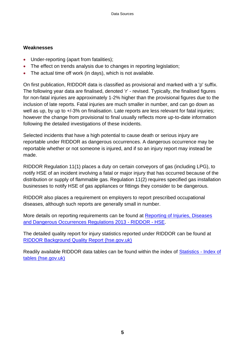#### **Weaknesses**

- Under-reporting (apart from fatalities);
- The effect on trends analysis due to changes in reporting legislation;
- The actual time off work (in days), which is not available.

On first publication, RIDDOR data is classified as provisional and marked with a 'p' suffix. The following year data are finalised, denoted 'r' - revised. Typically, the finalised figures for non-fatal injuries are approximately 1-2% higher than the provisional figures due to the inclusion of late reports. Fatal injuries are much smaller in number, and can go down as well as up, by up to  $+/-3\%$  on finalisation. Late reports are less relevant for fatal injuries; however the change from provisional to final usually reflects more up-to-date information following the detailed investigations of these incidents.

Selected incidents that have a high potential to cause death or serious injury are reportable under RIDDOR as dangerous occurrences. A dangerous occurrence may be reportable whether or not someone is injured, and if so an injury report may instead be made.

RIDDOR Regulation 11(1) places a duty on certain conveyors of gas (including LPG), to notify HSE of an incident involving a fatal or major injury that has occurred because of the distribution or supply of flammable gas. Regulation 11(2) requires specified gas installation businesses to notify HSE of gas appliances or fittings they consider to be dangerous.

RIDDOR also places a requirement on employers to report prescribed occupational diseases, although such reports are generally small in number.

More details on reporting requirements can be found at [Reporting of Injuries, Diseases](https://www.hse.gov.uk/riddor/index.htm)  [and Dangerous Occurrences Regulations 2013 -](https://www.hse.gov.uk/riddor/index.htm) RIDDOR - HSE.

The detailed quality report for injury statistics reported under RIDDOR can be found at [RIDDOR Background Quality Report \(hse.gov.uk\)](https://www.hse.gov.uk/statistics/pdf/riddor-background-quality-report.pdf)

Readily available RIDDOR data tables can be found within the index of [Statistics -](https://www.hse.gov.uk/statistics/tables/index.htm) Index of [tables \(hse.gov.uk\)](https://www.hse.gov.uk/statistics/tables/index.htm)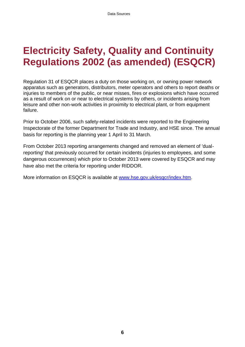### <span id="page-7-0"></span>**Electricity Safety, Quality and Continuity Regulations 2002 (as amended) (ESQCR)**

Regulation 31 of ESQCR places a duty on those working on, or owning power network apparatus such as generators, distributors, meter operators and others to report deaths or injuries to members of the public, or near misses, fires or explosions which have occurred as a result of work on or near to electrical systems by others, or incidents arising from leisure and other non-work activities in proximity to electrical plant, or from equipment failure.

Prior to October 2006, such safety-related incidents were reported to the Engineering Inspectorate of the former Department for Trade and Industry, and HSE since. The annual basis for reporting is the planning year 1 April to 31 March.

From October 2013 reporting arrangements changed and removed an element of 'dualreporting' that previously occurred for certain incidents (injuries to employees, and some dangerous occurrences) which prior to October 2013 were covered by ESQCR and may have also met the criteria for reporting under RIDDOR.

More information on ESQCR is available at [www.hse.gov.uk/esqcr/index.htm.](http://www.hse.gov.uk/esqcr/index.htm)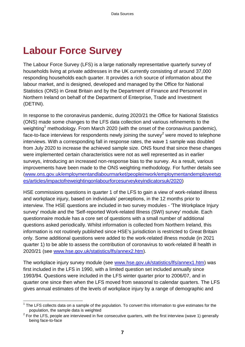## <span id="page-8-0"></span>**Labour Force Survey**

The Labour Force Survey (LFS) is a large nationally representative quarterly survey of households living at private addresses in the UK currently consisting of around 37,000 responding households each quarter. It provides a rich source of information about the labour market, and is designed, developed and managed by the Office for National Statistics (ONS) in Great Britain and by the Department of Finance and Personnel in Northern Ireland on behalf of the Department of Enterprise, Trade and Investment (DETINI).

In response to the coronavirus pandemic, during 2020/21 the Office for National Statistics (ONS) made some changes to the LFS data collection and various refinements to the weighting<sup>1</sup> methodology. From March 2020 (with the onset of the coronavirus pandemic), face-to-face interviews for respondents newly joining the survey<sup>2</sup> were moved to telephone interviews. With a corresponding fall in response rates, the wave 1 sample was doubled from July 2020 to increase the achieved sample size. ONS found that since these changes were implemented certain characteristics were not as well represented as in earlier surveys, introducing an increased non-response bias to the survey. As a result, various improvements have been made to the ONS weighting methodology. For further details see [\(www.ons.gov.uk/employmentandlabourmarket/peopleinwork/employmentandemployeetyp](http://www.ons.gov.uk/employmentandlabourmarket/peopleinwork/employmentandemployeetypes/articles/impactofreweightingonlabourforcesurveykeyindicatorsuk/2020) es/articles/impactofreweightingonlabourforcesurveykeyindicatorsuk/2020)

HSE commissions questions in quarter 1 of the LFS to gain a view of work-related illness and workplace injury, based on individuals' perceptions, in the 12 months prior to interview. The HSE questions are included in two survey modules - 'The Workplace Injury survey' module and the 'Self-reported Work-related Illness (SWI) survey' module. Each questionnaire module has a core set of questions with a small number of additional questions asked periodically. Whilst information is collected from Northern Ireland, this information is not routinely published since HSE's jurisdiction is restricted to Great Britain only. Some additional questions were added to the work-related illness module (in 2021 quarter 1) to be able to assess the contribution of coronavirus to work-related ill health in 2020/21 (see [www.hse.gov.uk/statistics/lfs/annex2.htm\)](http://www.hse.gov.uk/statistics/lfs/annex2.htm).

The workplace injury survey module (see [www.hse.gov.uk/statistics/lfs/annex1.htm\)](http://www.hse.gov.uk/statistics/lfs/annex1.htm) was first included in the LFS in 1990, with a limited question set included annually since 1993/94. Questions were included in the LFS winter quarter prior to 2006/07, and in quarter one since then when the LFS moved from seasonal to calendar quarters. The LFS gives annual estimates of the levels of workplace injury by a range of demographic and

<sup>1</sup>  $1$  The LFS collects data on a sample of the population. To convert this information to give estimates for the population, the sample data is weighted

 $2$  For the LFS, people are interviewed in five consecutive quarters, with the first interview (wave 1) generally being face-to-face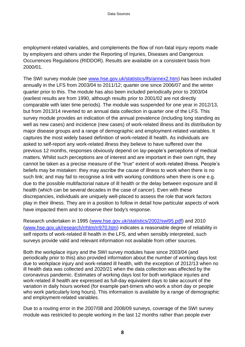employment-related variables, and complements the flow of non-fatal injury reports made by employers and others under the Reporting of Injuries, Diseases and Dangerous Occurrences Regulations (RIDDOR). Results are available on a consistent basis from 2000/01.

The SWI survey module (see [www.hse.gov.uk/statistics/lfs/annex2.htm\)](http://www.hse.gov.uk/statistics/lfs/annex2.htm) has been included annually in the LFS from 2003/04 to 2011/12; quarter one since 2006/07 and the winter quarter prior to this. The module has also been included periodically prior to 2003/04 (earliest results are from 1990, although results prior to 2001/02 are not directly comparable with later time periods). The module was suspended for one year in 2012/13, but from 2013/14 reverted to an annual data collection in quarter one of the LFS. This survey module provides an indication of the annual prevalence (including long standing as well as new cases) and incidence (new cases) of work-related illness and its distribution by major disease groups and a range of demographic and employment-related variables. It captures the most widely based definition of work-related ill health. As individuals are asked to self-report any work-related illness they believe to have suffered over the previous 12 months, responses obviously depend on lay-people's perceptions of medical matters. Whilst such perceptions are of interest and are important in their own right, they cannot be taken as a precise measure of the "true" extent of work-related illness. People's beliefs may be mistaken: they may ascribe the cause of illness to work when there is no such link; and may fail to recognise a link with working conditions when there is one e.g. due to the possible multifactorial nature of ill health or the delay between exposure and ill health (which can be several decades in the case of cancer). Even with these discrepancies, individuals are uniquely well-placed to assess the role that work factors play in their illness. They are in a position to follow in detail how particular aspects of work have impacted them and to observe their body's response.

Research undertaken in 1995 [\(www.hse.gov.uk/statistics/2002/swi95.pdf\)](http://www.hse.gov.uk/statistics/2002/swi95.pdf) and 2010 [\(www.hse.gov.uk/research/rrhtm/rr970.htm\)](http://www.hse.gov.uk/research/rrhtm/rr970.htm) indicates a reasonable degree of reliability in self reports of work-related ill health in the LFS, and when sensibly interpreted, such surveys provide valid and relevant information not available from other sources.

Both the workplace injury and the SWI survey modules have since 2003/04 (and periodically prior to this) also provided information about the number of working days lost due to workplace injury and work-related ill health, with the exception of 2012/13 when no ill health data was collected and 2020/21 when the data collection was affected by the coronavirus pandemic. Estimates of working days lost for both workplace injuries and work-related ill health are expressed as full-day equivalent days to take account of the variation in daily hours worked (for example part-timers who work a short day or people who work particularly long hours). This information is available by a range of demographic and employment-related variables.

Due to a routing error in the 2007/08 and 2008/09 surveys, coverage of the SWI survey module was restricted to people working in the last 12 months rather than people ever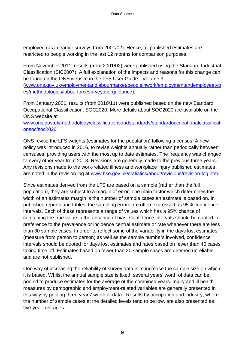employed (as in earlier surveys from 2001/02). Hence, all published estimates are restricted to people working in the last 12 months for comparison purposes.

From November 2011, results (from 2001/02) were published using the Standard Industrial Classification (SIC2007). A full explanation of the impacts and reasons for this change can be found on the ONS website in the LFS User Guide - Volume 3 [\(www.ons.gov.uk/employmentandlabourmarket/peopleinwork/employmentandemployeetyp](http://www.ons.gov.uk/employmentandlabourmarket/peopleinwork/employmentandemployeetypes/methodologies/labourforcesurveyuserguidance)

es/methodologies/labourforcesurveyuserguidance).

From January 2021, results (from 2010/11) were published based on the new Standard Occupational Classification, SOC2020. More details about SOC2020 are available on the ONS website at

[www.ons.gov.uk/methodology/classificationsandstandards/standardoccupationalclassificati](http://www.ons.gov.uk/methodology/classificationsandstandards/standardoccupationalclassificationsoc/soc2020) onsoc/soc2020

ONS revise the LFS weights (estimates for the population) following a census. A new policy was introduced in 2016, to revise weights annually rather than periodically between censuses, providing users with the most up to date estimates. The frequency was changed to every other year from 2018. Revisions are generally made to the previous three years. Any revisions made to the work-related illness and workplace injury published estimates are noted in the revision log at [www.hse.gov.uk/statistics/about/revisions/revision-log.htm.](http://www.hse.gov.uk/statistics/about/revisions/revision-log.htm)

Since estimates derived from the LFS are based on a sample (rather than the full population), they are subject to a margin of error. The main factor which determines the width of an estimates margin is the number of sample cases an estimate is based on. In published reports and tables, the sampling errors are often expressed as 95% confidence intervals. Each of these represents a range of values which has a 95% chance of containing the true value in the absence of bias. Confidence intervals should be quoted in preference to the prevalence or incidence central estimate or rate whenever there are less than 30 sample cases. In order to reflect some of the variability in the days lost estimates (measure from person to person) as well as the sample numbers involved, confidence intervals should be quoted for days lost estimates and rates based on fewer than 40 cases taking time off. Estimates based on fewer than 20 sample cases are deemed unreliable and are not published.

One way of increasing the reliability of survey data is to increase the sample size on which it is based. Whilst the annual sample size is fixed, several years' worth of data can be pooled to produce estimates for the average of the combined years. Injury and ill health measures by demographic and employment-related variables are generally presented in this way by pooling three years' worth of data. Results by occupation and industry, where the number of sample cases at the detailed levels tend to be low, are also presented as five-year averages.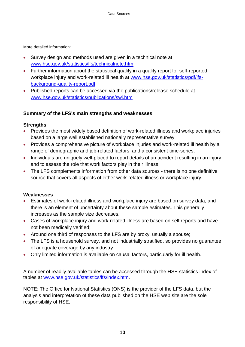More detailed information:

- Survey design and methods used are given in a technical note at [www.hse.gov.uk/statistics/lfs/technicalnote.htm](http://www.hse.gov.uk/statistics/lfs/technicalnote.htm)
- Further information about the statistical quality in a quality report for self-reported workplace injury and work-related ill health at [www.hse.gov.uk/statistics/pdf/lfs](http://www.hse.gov.uk/statistics/pdf/lfs-background-quality-report.pdf)[background-quality-report.pdf](http://www.hse.gov.uk/statistics/pdf/lfs-background-quality-report.pdf)
- Published reports can be accessed via the publications/release schedule at [www.hse.gov.uk/statistics/publications/swi.htm](http://www.hse.gov.uk/statistics/publications/swi.htm)

#### **Summary of the LFS's main strengths and weaknesses**

#### **Strengths**

- Provides the most widely based definition of work-related illness and workplace injuries based on a large well established nationally representative survey;
- Provides a comprehensive picture of workplace injuries and work-related ill health by a range of demographic and job-related factors, and a consistent time-series;
- Individuals are uniquely well-placed to report details of an accident resulting in an injury and to assess the role that work factors play in their illness;
- The LFS complements information from other data sources there is no one definitive source that covers all aspects of either work-related illness or workplace injury.

#### **Weaknesses**

- Estimates of work-related illness and workplace injury are based on survey data, and there is an element of uncertainty about these sample estimates. This generally increases as the sample size decreases.
- Cases of workplace injury and work-related illness are based on self reports and have not been medically verified;
- Around one third of responses to the LFS are by proxy, usually a spouse;
- The LFS is a household survey, and not industrially stratified, so provides no guarantee of adequate coverage by any industry.
- Only limited information is available on causal factors, particularly for ill health.

A number of readily available tables can be accessed through the HSE statistics index of tables at [www.hse.gov.uk/statistics/lfs/index.htm.](http://www.hse.gov.uk/statistics/lfs/index.htm)

NOTE: The Office for National Statistics (ONS) is the provider of the LFS data, but the analysis and interpretation of these data published on the HSE web site are the sole responsibility of HSE.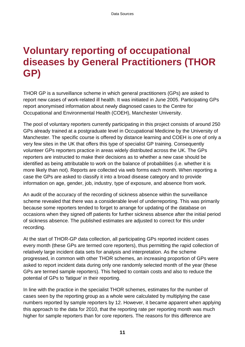## <span id="page-12-0"></span>**Voluntary reporting of occupational diseases by General Practitioners (THOR GP)**

THOR GP is a surveillance scheme in which general practitioners (GPs) are asked to report new cases of work-related ill health. It was initiated in June 2005. Participating GPs report anonymised information about newly diagnosed cases to the Centre for Occupational and Environmental Health (COEH), Manchester University.

The pool of voluntary reporters currently participating in this project consists of around 250 GPs already trained at a postgraduate level in Occupational Medicine by the University of Manchester. The specific course is offered by distance learning and COEH is one of only a very few sites in the UK that offers this type of specialist GP training. Consequently volunteer GPs reporters practice in areas widely distributed across the UK. The GPs reporters are instructed to make their decisions as to whether a new case should be identified as being attributable to work on the balance of probabilities (i.e. whether it is more likely than not). Reports are collected via web forms each month. When reporting a case the GPs are asked to classify it into a broad disease category and to provide information on age, gender, job, industry, type of exposure, and absence from work.

An audit of the accuracy of the recording of sickness absence within the surveillance scheme revealed that there was a considerable level of underreporting. This was primarily because some reporters tended to forget to arrange for updating of the database on occasions when they signed off patients for further sickness absence after the initial period of sickness absence. The published estimates are adjusted to correct for this under recording.

At the start of THOR-GP data collection, all participating GPs reported incident cases every month (these GPs are termed core reporters), thus permitting the rapid collection of relatively large incident data sets for analysis and interpretation. As the scheme progressed, in common with other THOR schemes, an increasing proportion of GPs were asked to report incident data during only one randomly selected month of the year (these GPs are termed sample reporters). This helped to contain costs and also to reduce the potential of GPs to 'fatigue' in their reporting.

In line with the practice in the specialist THOR schemes, estimates for the number of cases seen by the reporting group as a whole were calculated by multiplying the case numbers reported by sample reporters by 12. However, it became apparent when applying this approach to the data for 2010, that the reporting rate per reporting month was much higher for sample reporters than for core reporters. The reasons for this difference are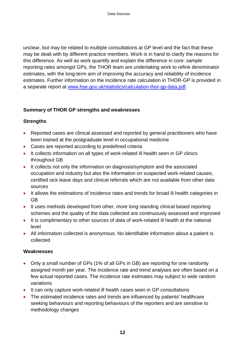unclear, but may be related to multiple consultations at GP level and the fact that these may be dealt with by different practice members. Work is in hand to clarify the reasons for this difference. As well as work quantify and explain the difference in core: sample reporting rates amongst GPs, the THOR team are undertaking work to refine denominator estimates, with the long-term aim of improving the accuracy and reliability of incidence estimates. Further information on the incidence rate calculation in THOR-GP is provided in a separate report at [www.hse.gov.uk/statistics/calculation-thor-gp-data.pdf.](http://www.hse.gov.uk/statistics/calculation-thor-gp-data.pdf)

#### **Summary of THOR GP strengths and weaknesses**

#### **Strengths**

- Reported cases are clinical assessed and reported by general practitioners who have been trained at the postgraduate level in occupational medicine
- Cases are reported according to predefined criteria
- It collects information on all types of work-related ill health seen in GP clinics throughout GB
- It collects not only the information on diagnosis/symptom and the associated occupation and industry but also the information on suspected work-related causes, certified sick leave days and clinical referrals which are not available from other data sources
- It allows the estimations of incidence rates and trends for broad ill health categories in GB
- It uses methods developed from other, more long-standing clinical based reporting schemes and the quality of the data collected are continuously assessed and improved
- It is complimentary to other sources of data of work-related ill health at the national level
- All information collected is anonymous. No identifiable information about a patient is collected

#### **Weaknesses**

- Only a small number of GPs (1% of all GPs in GB) are reporting for one randomly assigned month per year. The incidence rate and trend analyses are often based on a few actual reported cases. The incidence rate estimates may subject to wide random variations
- It can only capture work-related ill health cases seen in GP consultations
- The estimated incidence rates and trends are influenced by patients' healthcare seeking behaviours and reporting behaviours of the reporters and are sensitive to methodology changes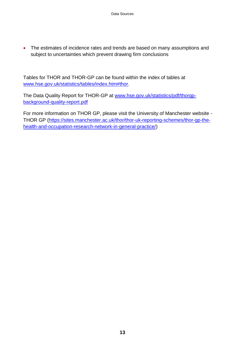The estimates of incidence rates and trends are based on many assumptions and subject to uncertainties which prevent drawing firm conclusions

Tables for THOR and THOR-GP can be found within the index of tables at [www.hse.gov.uk/statistics/tables/index.htm#thor.](http://www.hse.gov.uk/statistics/tables/index.htm#thor)

The Data Quality Report for THOR-GP at [www.hse.gov.uk/statistics/pdf/thorgp](http://www.hse.gov.uk/statistics/pdf/thorgp-background-quality-report.pdf)[background-quality-report.pdf](http://www.hse.gov.uk/statistics/pdf/thorgp-background-quality-report.pdf)

For more information on THOR GP, please visit the University of Manchester website - THOR GP [\(https://sites.manchester.ac.uk/thor/thor-uk-reporting-schemes/thor-gp-the](https://sites.manchester.ac.uk/thor/thor-uk-reporting-schemes/thor-gp-the-health-and-occupation-research-network-in-general-practice/)[health-and-occupation-research-network-in-general-practice/\)](https://sites.manchester.ac.uk/thor/thor-uk-reporting-schemes/thor-gp-the-health-and-occupation-research-network-in-general-practice/)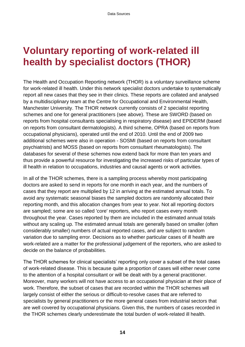### <span id="page-15-0"></span>**Voluntary reporting of work-related ill health by specialist doctors (THOR)**

The Health and Occupation Reporting network (THOR) is a voluntary surveillance scheme for work-related ill health. Under this network specialist doctors undertake to systematically report all new cases that they see in their clinics. These reports are collated and analysed by a multidisciplinary team at the Centre for Occupational and Environmental Health, Manchester University. The THOR network currently consists of 2 specialist reporting schemes and one for general practitioners (see above). These are SWORD (based on reports from hospital consultants specialising in respiratory disease) and EPIDERM (based on reports from consultant dermatologists). A third scheme, OPRA (based on reports from occupational physicians), operated until the end of 2010. Until the end of 2009 two additional schemes were also in operation - SOSMI (based on reports from consultant psychiatrists) and MOSS (based on reports from consultant rheumatologists). The databases for several of these schemes now extend back for more than ten years and thus provide a powerful resource for investigating the increased risks of particular types of ill health in relation to occupations, industries and causal agents or work activities.

In all of the THOR schemes, there is a sampling process whereby most participating doctors are asked to send in reports for one month in each year, and the numbers of cases that they report are multiplied by 12 in arriving at the estimated annual totals. To avoid any systematic seasonal biases the sampled doctors are randomly allocated their reporting month, and this allocation changes from year to year. Not all reporting doctors are sampled; some are so called 'core' reporters, who report cases every month throughout the year. Cases reported by them are included in the estimated annual totals without any scaling up. The estimated annual totals are generally based on smaller (often considerably smaller) numbers of actual reported cases, and are subject to random variation due to sampling error. Decisions as to whether particular cases of ill health are work-related are a matter for the professional judgement of the reporters, who are asked to decide on the balance of probabilities.

The THOR schemes for clinical specialists' reporting only cover a subset of the total cases of work-related disease. This is because quite a proportion of cases will either never come to the attention of a hospital consultant or will be dealt with by a general practitioner. Moreover, many workers will not have access to an occupational physician at their place of work. Therefore, the subset of cases that are recorded within the THOR schemes will largely consist of either the serious or difficult-to-resolve cases that are referred to specialists by general practitioners or the more general cases from industrial sectors that are well covered by occupational physicians. Given this, the numbers of cases recorded in the THOR schemes clearly underestimate the total burden of work-related ill health.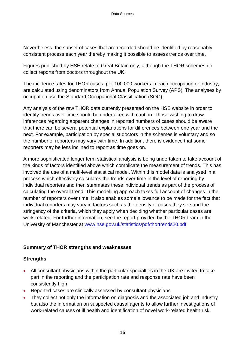Nevertheless, the subset of cases that are recorded should be identified by reasonably consistent process each year thereby making it possible to assess trends over time.

Figures published by HSE relate to Great Britain only, although the THOR schemes do collect reports from doctors throughout the UK.

The incidence rates for THOR cases, per 100 000 workers in each occupation or industry, are calculated using denominators from Annual Population Survey (APS). The analyses by occupation use the Standard Occupational Classification (SOC).

Any analysis of the raw THOR data currently presented on the HSE website in order to identify trends over time should be undertaken with caution. Those wishing to draw inferences regarding apparent changes in reported numbers of cases should be aware that there can be several potential explanations for differences between one year and the next. For example, participation by specialist doctors in the schemes is voluntary and so the number of reporters may vary with time. In addition, there is evidence that some reporters may be less inclined to report as time goes on.

A more sophisticated longer term statistical analysis is being undertaken to take account of the kinds of factors identified above which complicate the measurement of trends. This has involved the use of a multi-level statistical model. Within this model data is analysed in a process which effectively calculates the trends over time in the level of reporting by individual reporters and then summates these individual trends as part of the process of calculating the overall trend. This modelling approach takes full account of changes in the number of reporters over time. It also enables some allowance to be made for the fact that individual reporters may vary in factors such as the density of cases they see and the stringency of the criteria, which they apply when deciding whether particular cases are work-related. For further information, see the report provided by the THOR team in the University of Manchester at [www.hse.gov.uk/statistics/pdf/thortrends20.pdf](http://www.hse.gov.uk/statistics/pdf/thortrends20.pdf)

#### **Summary of THOR strengths and weaknesses**

#### **Strengths**

- All consultant physicians within the particular specialties in the UK are invited to take part in the reporting and the participation rate and response rate have been consistently high
- Reported cases are clinically assessed by consultant physicians
- They collect not only the information on diagnosis and the associated job and industry but also the information on suspected causal agents to allow further investigations of work-related causes of ill health and identification of novel work-related health risk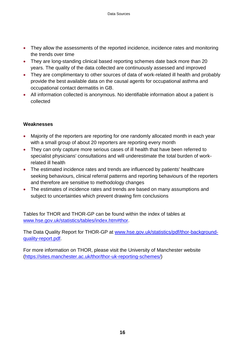- They allow the assessments of the reported incidence, incidence rates and monitoring the trends over time
- They are long-standing clinical based reporting schemes date back more than 20 years. The quality of the data collected are continuously assessed and improved
- They are complimentary to other sources of data of work-related ill health and probably provide the best available data on the causal agents for occupational asthma and occupational contact dermatitis in GB.
- All information collected is anonymous. No identifiable information about a patient is collected

#### **Weaknesses**

- Majority of the reporters are reporting for one randomly allocated month in each year with a small group of about 20 reporters are reporting every month
- They can only capture more serious cases of ill health that have been referred to specialist physicians' consultations and will underestimate the total burden of workrelated ill health
- The estimated incidence rates and trends are influenced by patients' healthcare seeking behaviours, clinical referral patterns and reporting behaviours of the reporters and therefore are sensitive to methodology changes
- The estimates of incidence rates and trends are based on many assumptions and subject to uncertainties which prevent drawing firm conclusions

Tables for THOR and THOR-GP can be found within the index of tables at [www.hse.gov.uk/statistics/tables/index.htm#thor.](http://www.hse.gov.uk/statistics/tables/index.htm#thor)

The Data Quality Report for THOR-GP at [www.hse.gov.uk/statistics/pdf/thor-background](http://www.hse.gov.uk/statistics/pdf/thor-background-quality-report.pdf)[quality-report.pdf.](http://www.hse.gov.uk/statistics/pdf/thor-background-quality-report.pdf)

For more information on THOR, please visit the University of Manchester website [\(https://sites.manchester.ac.uk/thor/thor-uk-reporting-schemes/\)](https://sites.manchester.ac.uk/thor/thor-uk-reporting-schemes/)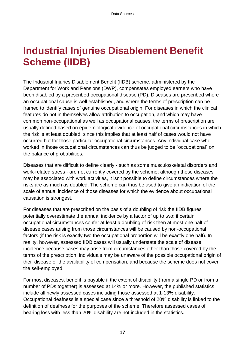## <span id="page-18-0"></span>**Industrial Injuries Disablement Benefit Scheme (IIDB)**

The Industrial Injuries Disablement Benefit (IIDB) scheme, administered by the Department for Work and Pensions (DWP), compensates employed earners who have been disabled by a prescribed occupational disease (PD). Diseases are prescribed where an occupational cause is well established, and where the terms of prescription can be framed to identify cases of genuine occupational origin. For diseases in which the clinical features do not in themselves allow attribution to occupation, and which may have common non-occupational as well as occupational causes, the terms of prescription are usually defined based on epidemiological evidence of occupational circumstances in which the risk is at least doubled, since this implies that at least half of cases would not have occurred but for those particular occupational circumstances. Any individual case who worked in those occupational circumstances can thus be judged to be "occupational" on the balance of probabilities.

Diseases that are difficult to define clearly - such as some musculoskeletal disorders and work-related stress - are not currently covered by the scheme; although these diseases may be associated with work activities, it isn't possible to define circumstances where the risks are as much as doubled. The scheme can thus be used to give an indication of the scale of annual incidence of those diseases for which the evidence about occupational causation is strongest.

For diseases that are prescribed on the basis of a doubling of risk the IIDB figures potentially overestimate the annual incidence by a factor of up to two: if certain occupational circumstances confer at least a doubling of risk then at most one half of disease cases arising from those circumstances will be caused by non-occupational factors (if the risk is exactly two the occupational proportion will be exactly one half). In reality, however, assessed IIDB cases will usually understate the scale of disease incidence because cases may arise from circumstances other than those covered by the terms of the prescription, individuals may be unaware of the possible occupational origin of their disease or the availability of compensation, and because the scheme does not cover the self-employed.

For most diseases, benefit is payable if the extent of disability (from a single PD or from a number of PDs together) is assessed at 14% or more. However, the published statistics include all newly assessed cases including those assessed at 1-13% disability. Occupational deafness is a special case since a threshold of 20% disability is linked to the definition of deafness for the purposes of the scheme. Therefore assessed cases of hearing loss with less than 20% disability are not included in the statistics.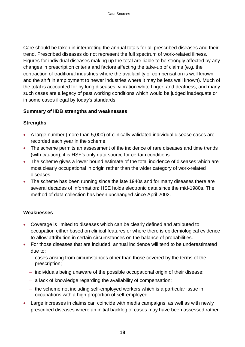Care should be taken in interpreting the annual totals for all prescribed diseases and their trend. Prescribed diseases do not represent the full spectrum of work-related illness. Figures for individual diseases making up the total are liable to be strongly affected by any changes in prescription criteria and factors affecting the take-up of claims (e.g. the contraction of traditional industries where the availability of compensation is well known, and the shift in employment to newer industries where it may be less well known). Much of the total is accounted for by lung diseases, vibration white finger, and deafness, and many such cases are a legacy of past working conditions which would be judged inadequate or in some cases illegal by today's standards.

#### **Summary of IIDB strengths and weaknesses**

#### **Strengths**

- A large number (more than 5,000) of clinically validated individual disease cases are recorded each year in the scheme.
- The scheme permits an assessment of the incidence of rare diseases and time trends (with caution); it is HSE's only data source for certain conditions.
- The scheme gives a lower bound estimate of the total incidence of diseases which are most clearly occupational in origin rather than the wider category of work-related diseases.
- The scheme has been running since the late 1940s and for many diseases there are several decades of information; HSE holds electronic data since the mid-1980s. The method of data collection has been unchanged since April 2002.

#### **Weaknesses**

- Coverage is limited to diseases which can be clearly defined and attributed to occupation either based on clinical features or where there is epidemiological evidence to allow attribution in certain circumstances on the balance of probabilities.
- For those diseases that are included, annual incidence will tend to be underestimated due to:
	- cases arising from circumstances other than those covered by the terms of the prescription;
	- individuals being unaware of the possible occupational origin of their disease;
	- $-$  a lack of knowledge regarding the availability of compensation;
	- $-$  the scheme not including self-employed workers which is a particular issue in occupations with a high proportion of self-employed.
- Large increases in claims can coincide with media campaigns, as well as with newly prescribed diseases where an initial backlog of cases may have been assessed rather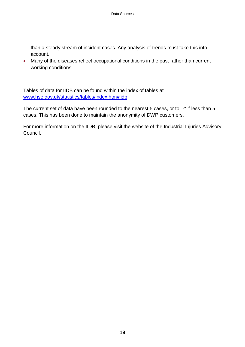than a steady stream of incident cases. Any analysis of trends must take this into account.

 Many of the diseases reflect occupational conditions in the past rather than current working conditions.

Tables of data for IIDB can be found within the index of tables at [www.hse.gov.uk/statistics/tables/index.htm#iidb.](http://www.hse.gov.uk/statistics/tables/index.htm#iidb)

The current set of data have been rounded to the nearest 5 cases, or to "-" if less than 5 cases. This has been done to maintain the anonymity of DWP customers.

For more information on the IIDB, please visit the website of the Industrial Injuries Advisory Council.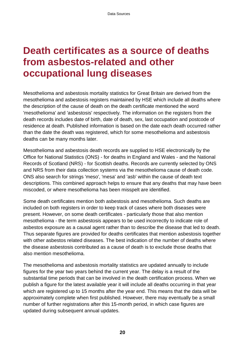### <span id="page-21-0"></span>**Death certificates as a source of deaths from asbestos-related and other occupational lung diseases**

Mesothelioma and asbestosis mortality statistics for Great Britain are derived from the mesothelioma and asbestosis registers maintained by HSE which include all deaths where the description of the cause of death on the death certificate mentioned the word 'mesothelioma' and 'asbestosis' respectively. The information on the registers from the death records includes date of birth, date of death, sex, last occupation and postcode of residence at death. Published information is based on the date each death occurred rather than the date the death was registered, which for some mesothelioma and asbestosis deaths can be many months later.

Mesothelioma and asbestosis death records are supplied to HSE electronically by the Office for National Statistics (ONS) - for deaths in England and Wales - and the National Records of Scotland (NRS) - for Scottish deaths. Records are currently selected by ONS and NRS from their data collection systems via the mesothelioma cause of death code. ONS also search for strings 'meso', 'mesa' and 'asb' within the cause of death text descriptions. This combined approach helps to ensure that any deaths that may have been miscoded, or where mesothelioma has been misspelt are identified.

Some death certificates mention both asbestosis and mesothelioma. Such deaths are included on both registers in order to keep track of cases where both diseases were present. However, on some death certificates - particularly those that also mention mesothelioma - the term asbestosis appears to be used incorrectly to indicate role of asbestos exposure as a causal agent rather than to describe the disease that led to death. Thus separate figures are provided for deaths certificates that mention asbestosis together with other asbestos related diseases. The best indication of the number of deaths where the disease asbestosis contributed as a cause of death is to exclude those deaths that also mention mesothelioma.

The mesothelioma and asbestosis mortality statistics are updated annually to include figures for the year two years behind the current year. The delay is a result of the substantial time periods that can be involved in the death certification process. When we publish a figure for the latest available year it will include all deaths occurring in that year which are registered up to 15 months after the year end. This means that the data will be approximately complete when first published. However, there may eventually be a small number of further registrations after this 15-month period, in which case figures are updated during subsequent annual updates.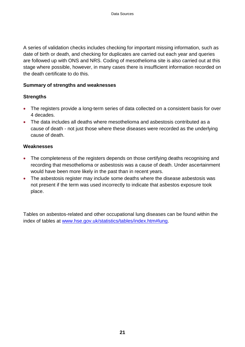A series of validation checks includes checking for important missing information, such as date of birth or death, and checking for duplicates are carried out each year and queries are followed up with ONS and NRS. Coding of mesothelioma site is also carried out at this stage where possible, however, in many cases there is insufficient information recorded on the death certificate to do this.

#### **Summary of strengths and weaknesses**

#### **Strengths**

- The registers provide a long-term series of data collected on a consistent basis for over 4 decades.
- The data includes all deaths where mesothelioma and asbestosis contributed as a cause of death - not just those where these diseases were recorded as the underlying cause of death.

#### **Weaknesses**

- The completeness of the registers depends on those certifying deaths recognising and recording that mesothelioma or asbestosis was a cause of death. Under ascertainment would have been more likely in the past than in recent years.
- The asbestosis register may include some deaths where the disease asbestosis was not present if the term was used incorrectly to indicate that asbestos exposure took place.

Tables on asbestos-related and other occupational lung diseases can be found within the index of tables at [www.hse.gov.uk/statistics/tables/index.htm#lung.](http://www.hse.gov.uk/statistics/tables/index.htm#lung)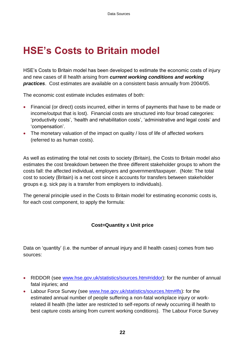## <span id="page-23-0"></span>**HSE's Costs to Britain model**

HSE's Costs to Britain model has been developed to estimate the economic costs of injury and new cases of ill health arising from *current working conditions and working practices*. Cost estimates are available on a consistent basis annually from 2004/05.

The economic cost estimate includes estimates of both:

- Financial (or direct) costs incurred, either in terms of payments that have to be made or income/output that is lost). Financial costs are structured into four broad categories: 'productivity costs', 'health and rehabilitation costs', 'administrative and legal costs' and 'compensation'.
- The monetary valuation of the impact on quality / loss of life of affected workers (referred to as human costs).

As well as estimating the total net costs to society (Britain), the Costs to Britain model also estimates the cost breakdown between the three different stakeholder groups to whom the costs fall: the affected individual, employers and government/taxpayer. (Note: The total cost to society (Britain) is a net cost since it accounts for transfers between stakeholder groups e.g. sick pay is a transfer from employers to individuals).

The general principle used in the Costs to Britain model for estimating economic costs is, for each cost component, to apply the formula:

#### **Cost=Quantity x Unit price**

Data on 'quantity' (i.e. the number of annual injury and ill health cases) comes from two sources:

- RIDDOR (see [www.hse.gov.uk/statistics/sources.htm#riddor\)](http://www.hse.gov.uk/statistics/sources.htm#riddor): for the number of annual fatal injuries; and
- Labour Force Survey (see [www.hse.gov.uk/statistics/sources.htm#lfs\)](http://www.hse.gov.uk/statistics/sources.htm#lfs): for the estimated annual number of people suffering a non-fatal workplace injury or workrelated ill health (the latter are restricted to self-reports of newly occurring ill health to best capture costs arising from current working conditions). The Labour Force Survey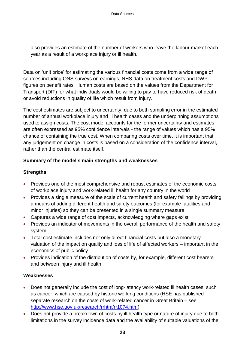also provides an estimate of the number of workers who leave the labour market each year as a result of a workplace injury or ill health.

Data on 'unit price' for estimating the various financial costs come from a wide range of sources including ONS surveys on earnings, NHS data on treatment costs and DWP figures on benefit rates. Human costs are based on the values from the Department for Transport (DfT) for what individuals would be willing to pay to have reduced risk of death or avoid reductions in quality of life which result from injury.

The cost estimates are subject to uncertainty, due to both sampling error in the estimated number of annual workplace injury and ill health cases and the underpinning assumptions used to assign costs. The cost model accounts for the former uncertainty and estimates are often expressed as 95% confidence intervals - the range of values which has a 95% chance of containing the true cost. When comparing costs over time, it is important that any judgement on change in costs is based on a consideration of the confidence interval, rather than the central estimate itself.

#### **Summary of the model's main strengths and weaknesses**

#### **Strengths**

- Provides one of the most comprehensive and robust estimates of the economic costs of workplace injury and work-related ill health for any country in the world
- Provides a single measure of the scale of current health and safety failings by providing a means of adding different health and safety outcomes (for example fatalities and minor injuries) so they can be presented in a single summary measure
- Captures a wide range of cost impacts, acknowledging where gaps exist
- Provides an indicator of movements in the overall performance of the health and safety system
- Total cost estimate includes not only direct financial costs but also a monetary valuation of the impact on quality and loss of life of affected workers – important in the economics of public policy
- Provides indication of the distribution of costs by, for example, different cost bearers and between injury and ill health.

#### **Weaknesses**

- Does not generally include the cost of long-latency work-related ill health cases, such as cancer, which are caused by historic working conditions (HSE has published separate research on the costs of work-related cancer in Great Britain – see [http://www.hse.gov.uk/research/rrhtm/rr1074.htm\)](http://www.hse.gov.uk/research/rrhtm/rr1074.htm)
- Does not provide a breakdown of costs by ill health type or nature of injury due to both limitations in the survey incidence data and the availability of suitable valuations of the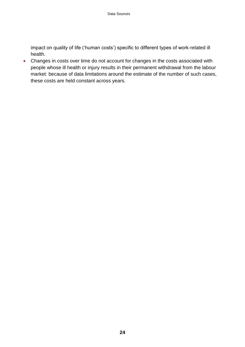impact on quality of life ('human costs') specific to different types of work-related ill health.

 Changes in costs over time do not account for changes in the costs associated with people whose ill health or injury results in their permanent withdrawal from the labour market: because of data limitations around the estimate of the number of such cases, these costs are held constant across years.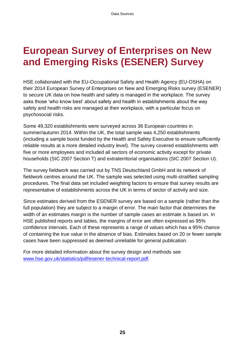### <span id="page-26-0"></span>**European Survey of Enterprises on New and Emerging Risks (ESENER) Survey**

HSE collaborated with the EU-Occupational Safety and Health Agency (EU-OSHA) on their 2014 European Survey of Enterprises on New and Emerging Risks survey (ESENER) to secure UK data on how health and safety is managed in the workplace. The survey asks those 'who know best' about safety and health in establishments about the way safety and health risks are managed at their workplace, with a particular focus on psychosocial risks.

Some 49,320 establishments were surveyed across 36 European countries in summer/autumn 2014. Within the UK, the total sample was 4,250 establishments (including a sample boost funded by the Health and Safety Executive to ensure sufficiently reliable results at a more detailed industry level). The survey covered establishments with five or more employees and included all sectors of economic activity except for private households (SIC 2007 Section T) and extraterritorial organisations (SIC 2007 Section U).

The survey fieldwork was carried out by TNS Deutschland GmbH and its network of fieldwork centres around the UK. The sample was selected using multi-stratified sampling procedures. The final data set included weighting factors to ensure that survey results are representative of establishments across the UK in terms of sector of activity and size.

Since estimates derived from the ESENER survey are based on a sample (rather than the full population) they are subject to a margin of error. The main factor that determines the width of an estimates margin is the number of sample cases an estimate is based on. In HSE published reports and tables, the margins of error are often expressed as 95% confidence intervals. Each of these represents a range of values which has a 95% chance of containing the true value in the absence of bias. Estimates based on 20 or fewer sample cases have been suppressed as deemed unreliable for general publication.

For more detailed information about the survey design and methods see [www.hse.gov.uk/statistics/pdf/esener-technical-report.pdf.](http://www.hse.gov.uk/statistics/pdf/esener-technical-report.pdf)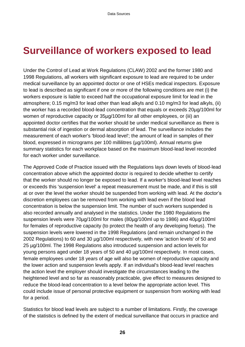### <span id="page-27-0"></span>**Surveillance of workers exposed to lead**

Under the Control of Lead at Work Regulations (CLAW) 2002 and the former 1980 and 1998 Regulations, all workers with significant exposure to lead are required to be under medical surveillance by an appointed doctor or one of HSEs medical inspectors. Exposure to lead is described as significant if one or more of the following conditions are met (i) the workers exposure is liable to exceed half the occupational exposure limit for lead in the atmosphere; 0.15 mg/m3 for lead other than lead alkyls and 0.10 mg/m3 for lead alkyls, (ii) the worker has a recorded blood-lead concentration that equals or exceeds 20µg/100ml for women of reproductive capacity or 35µg/100ml for all other employees, or (iii) an appointed doctor certifies that the worker should be under medical surveillance as there is substantial risk of ingestion or dermal absorption of lead. The surveillance includes the measurement of each worker's 'blood-lead level'; the amount of lead in samples of their blood, expressed in micrograms per 100 millilitres (µg/100ml). Annual returns give summary statistics for each workplace based on the maximum blood-lead level recorded for each worker under surveillance.

The Approved Code of Practice issued with the Regulations lays down levels of blood-lead concentration above which the appointed doctor is required to decide whether to certify that the worker should no longer be exposed to lead. If a worker's blood-lead level reaches or exceeds this 'suspension level' a repeat measurement must be made, and if this is still at or over the level the worker should be suspended from working with lead. At the doctor's discretion employees can be removed from working with lead even if the blood lead concentration is below the suspension limit. The number of such workers suspended is also recorded annually and analysed in the statistics. Under the 1980 Regulations the suspension levels were 70µg/100ml for males (80µg/100ml up to 1986) and 40µg/100ml for females of reproductive capacity (to protect the health of any developing foetus). The suspension levels were lowered in the 1998 Regulations (and remain unchanged in the 2002 Regulations) to 60 and 30 µg/100ml respectively, with new 'action levels' of 50 and 25 µg/100ml. The 1998 Regulations also introduced suspension and action levels for young persons aged under 18 years of 50 and 40 µg/100ml respectively. In most cases, female employees under 18 years of age will also be women of reproductive capacity and the lower action and suspension levels apply. If an individual's blood-lead level reaches the action level the employer should investigate the circumstances leading to the heightened level and so far as reasonably practicable, give effect to measures designed to reduce the blood-lead concentration to a level below the appropriate action level. This could include issue of personal protective equipment or suspension from working with lead for a period.

Statistics for blood lead levels are subject to a number of limitations. Firstly, the coverage of the statistics is defined by the extent of medical surveillance that occurs in practice and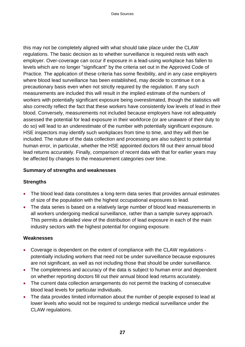this may not be completely aligned with what should take place under the CLAW regulations. The basic decision as to whether surveillance is required rests with each employer. Over-coverage can occur if exposure in a lead-using workplace has fallen to levels which are no longer "significant" by the criteria set out in the Approved Code of Practice. The application of these criteria has some flexibility, and in any case employers where blood lead surveillance has been established, may decide to continue it on a precautionary basis even when not strictly required by the regulation. If any such measurements are included this will result in the implied estimate of the numbers of workers with potentially significant exposure being overestimated, though the statistics will also correctly reflect the fact that these workers have consistently low levels of lead in their blood. Conversely, measurements not included because employers have not adequately assessed the potential for lead exposure in their workforce (or are unaware of their duty to do so) will lead to an underestimate of the number with potentially significant exposure. HSE inspectors may identify such workplaces from time to time, and they will then be included. The nature of the data collection and processing are also subject to potential human error, in particular, whether the HSE appointed doctors fill out their annual blood lead returns accurately. Finally, comparison of recent data with that for earlier years may be affected by changes to the measurement categories over time.

#### **Summary of strengths and weaknesses**

#### **Strengths**

- The blood lead data constitutes a long-term data series that provides annual estimates of size of the population with the highest occupational exposures to lead.
- The data series is based on a relatively large number of blood lead measurements in all workers undergoing medical surveillance, rather than a sample survey approach. This permits a detailed view of the distribution of lead exposure in each of the main industry sectors with the highest potential for ongoing exposure.

#### **Weaknesses**

- Coverage is dependent on the extent of compliance with the CLAW regulations potentially including workers that need not be under surveillance because exposures are not significant, as well as not including those that should be under surveillance.
- The completeness and accuracy of the data is subject to human error and dependent on whether reporting doctors fill out their annual blood lead returns accurately.
- The current data collection arrangements do not permit the tracking of consecutive blood lead levels for particular individuals.
- The data provides limited information about the number of people exposed to lead at lower levels who would not be required to undergo medical surveillance under the CLAW regulations.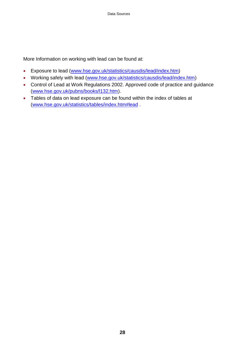More Information on working with lead can be found at:

- Exposure to lead [\(www.hse.gov.uk/statistics/causdis/lead/index.htm\)](http://www.hse.gov.uk/statistics/causdis/lead/index.htm)
- Working safely with lead [\(www.hse.gov.uk/statistics/causdis/lead/index.htm\)](http://www.hse.gov.uk/statistics/causdis/lead/index.htm)
- Control of Lead at Work Regulations 2002. Approved code of practice and guidance [\(www.hse.gov.uk/pubns/books/l132.htm\)](http://www.hse.gov.uk/pubns/books/l132.htm).
- Tables of data on lead exposure can be found within the index of tables at [\(www.hse.gov.uk/statistics/tables/index.htm#lead](http://www.hse.gov.uk/statistics/tables/index.htm#lead) .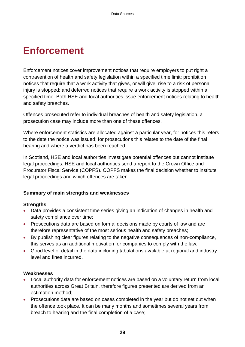### <span id="page-30-0"></span>**Enforcement**

Enforcement notices cover improvement notices that require employers to put right a contravention of health and safety legislation within a specified time limit; prohibition notices that require that a work activity that gives, or will give, rise to a risk of personal injury is stopped; and deferred notices that require a work activity is stopped within a specified time. Both HSE and local authorities issue enforcement notices relating to health and safety breaches.

Offences prosecuted refer to individual breaches of health and safety legislation, a prosecution case may include more than one of these offences.

Where enforcement statistics are allocated against a particular year, for notices this refers to the date the notice was issued; for prosecutions this relates to the date of the final hearing and where a verdict has been reached.

In Scotland, HSE and local authorities investigate potential offences but cannot institute legal proceedings. HSE and local authorities send a report to the Crown Office and Procurator Fiscal Service (COPFS). COPFS makes the final decision whether to institute legal proceedings and which offences are taken.

#### **Summary of main strengths and weaknesses**

#### **Strengths**

- Data provides a consistent time series giving an indication of changes in health and safety compliance over time;
- Prosecutions data are based on formal decisions made by courts of law and are therefore representative of the most serious health and safety breaches;
- By publishing clear figures relating to the negative consequences of non-compliance, this serves as an additional motivation for companies to comply with the law;
- Good level of detail in the data including tabulations available at regional and industry level and fines incurred.

#### **Weaknesses**

- Local authority data for enforcement notices are based on a voluntary return from local authorities across Great Britain, therefore figures presented are derived from an estimation method;
- Prosecutions data are based on cases completed in the year but do not set out when the offence took place. It can be many months and sometimes several years from breach to hearing and the final completion of a case;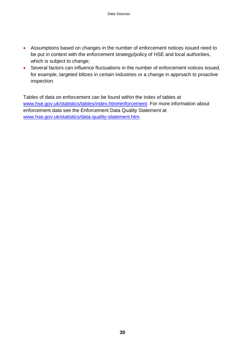- Assumptions based on changes in the number of enforcement notices issued need to be put in context with the enforcement strategy/policy of HSE and local authorities, which is subject to change;
- Several factors can influence fluctuations in the number of enforcement notices issued, for example, targeted blitzes in certain industries or a change in approach to proactive inspection.

Tables of data on enforcement can be found within the index of tables at [www.hse.gov.uk/statistics/tables/index.htm#enforcement.](http://www.hse.gov.uk/statistics/tables/index.htm#enforcement) For more information about enforcement data see the Enforcement Data Quality Statement at [www.hse.gov.uk/statistics/data-quality-statement.htm.](http://www.hse.gov.uk/statistics/data-quality-statement.htm)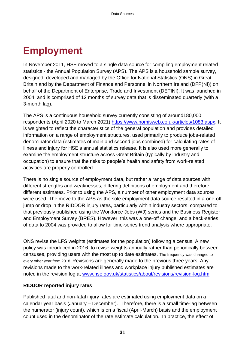### <span id="page-32-0"></span>**Employment**

In November 2011, HSE moved to a single data source for compiling employment related statistics - the Annual Population Survey (APS). The APS is a household sample survey, designed, developed and managed by the Office for National Statistics (ONS) in Great Britain and by the Department of Finance and Personnel in Northern Ireland (DFP(NI)) on behalf of the Department of Enterprise, Trade and Investment (DETINI). It was launched in 2004, and is comprised of 12 months of survey data that is disseminated quarterly (with a 3-month lag).

The APS is a continuous household survey currently consisting of around180,000 respondents (April 2020 to March 2021) [https://www.nomisweb.co.uk/articles/1083.aspx.](https://www.nomisweb.co.uk/articles/1083.aspx) It is weighted to reflect the characteristics of the general population and provides detailed information on a range of employment structures, used primarily to produce jobs-related denominator data (estimates of main and second jobs combined) for calculating rates of illness and injury for HSE's annual statistics release. It is also used more generally to examine the employment structure across Great Britain (typically by industry and occupation) to ensure that the risks to people's health and safety from work-related activities are properly controlled.

There is no single source of employment data, but rather a range of data sources with different strengths and weaknesses, differing definitions of employment and therefore different estimates. Prior to using the APS, a number of other employment data sources were used. The move to the APS as the sole employment data source resulted in a one-off jump or drop in the RIDDOR injury rates, particularly within industry sectors, compared to that previously published using the Workforce Jobs (WJ) series and the Business Register and Employment Survey (BRES). However, this was a one-off change, and a back-series of data to 2004 was provided to allow for time-series trend analysis where appropriate.

ONS revise the LFS weights (estimates for the population) following a census. A new policy was introduced in 2016, to revise weights annually rather than periodically between censuses, providing users with the most up to date estimates. The frequency was changed to every other year from 2018. Revisions are generally made to the previous three years. Any revisions made to the work-related illness and workplace injury published estimates are noted in the revision log at [www.hse.gov.uk/statistics/about/revisions/revision-log.htm.](http://www.hse.gov.uk/statistics/about/revisions/revision-log.htm)

#### **RIDDOR reported injury rates**

Published fatal and non-fatal injury rates are estimated using employment data on a calendar year basis (January – December). Therefore, there is a small time-lag between the numerator (injury count), which is on a fiscal (April-March) basis and the employment count used in the denominator of the rate estimate calculation. In practice, the effect of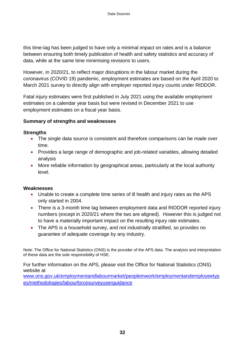this time-lag has been judged to have only a minimal impact on rates and is a balance between ensuring both timely publication of health and safety statistics and accuracy of data, while at the same time minimising revisions to users.

However, in 2020/21, to reflect major disruptions in the labour market during the coronavirus (COVID 19) pandemic, employment estimates are based on the April 2020 to March 2021 survey to directly align with employer reported injury counts under RIDDOR.

Fatal injury estimates were first published in July 2021 using the available employment estimates on a calendar year basis but were revised in December 2021 to use employment estimates on a fiscal year basis.

#### **Summary of strengths and weaknesses**

#### **Strengths**

- The single data source is consistent and therefore comparisons can be made over time.
- Provides a large range of demographic and job-related variables, allowing detailed analysis
- More reliable information by geographical areas, particularly at the local authority level.

#### **Weaknesses**

- Unable to create a complete time series of ill health and injury rates as the APS only started in 2004.
- There is a 3-month time lag between employment data and RIDDOR reported injury numbers (except in 2020/21 where the two are aligned). However this is judged not to have a materially important impact on the resulting injury rate estimates.
- The APS is a household survey, and not industrially stratified, so provides no guarantee of adequate coverage by any industry.

Note: The Office for National Statistics (ONS) is the provider of the APS data. The analysis and interpretation of these data are the sole responsibility of HSE.

For further information on the APS, please visit the Office for National Statistics (ONS) website at

[www.ons.gov.uk/employmentandlabourmarket/peopleinwork/employmentandemployeetyp](http://www.ons.gov.uk/employmentandlabourmarket/peopleinwork/employmentandemployeetypes/methodologies/labourforcesurveyuserguidance) es/methodologies/labourforcesurveyuserguidance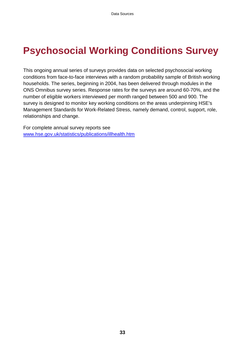## <span id="page-34-0"></span>**Psychosocial Working Conditions Survey**

This ongoing annual series of surveys provides data on selected psychosocial working conditions from face-to-face interviews with a random probability sample of British working households. The series, beginning in 2004, has been delivered through modules in the ONS Omnibus survey series. Response rates for the surveys are around 60-70%, and the number of eligible workers interviewed per month ranged between 500 and 900. The survey is designed to monitor key working conditions on the areas underpinning HSE's Management Standards for Work-Related Stress, namely demand, control, support, role, relationships and change.

For complete annual survey reports see [www.hse.gov.uk/statistics/publications/illhealth.htm](http://www.hse.gov.uk/statistics/publications/illhealth.htm)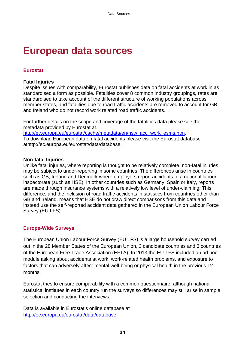### <span id="page-35-0"></span>**European data sources**

#### **Eurostat**

#### **Fatal Injuries**

Despite issues with comparability, Eurostat publishes data on fatal accidents at work in as standardised a form as possible. Fatalities cover 8 common industry groupings, rates are standardised to take account of the different structure of working populations across member states, and fatalities due to road traffic accidents are removed to account for GB and Ireland who do not record work related road traffic accidents.

For further details on the scope and coverage of the fatalities data please see the metadata provided by Eurostat at. [http://ec.europa.eu/eurostat/cache/metadata/en/hsw\\_acc\\_work\\_esms.htm.](http://ec.europa.eu/eurostat/cache/metadata/en/hsw_acc_work_esms.htm)

To download European data on fatal accidents please visit the Eurostat database athttp://ec.europa.eu/eurostat/data/database.

#### **Non-fatal Injuries**

Unlike fatal injuries, where reporting is thought to be relatively complete, non-fatal injuries may be subject to under-reporting in some countries. The differences arise in countries such as GB, Ireland and Denmark where employers report accidents to a national labour inspectorate (such as HSE). In other countries such as Germany, Spain or Italy, reports are made through insurance systems with a relatively low level of under-claiming. This difference, and the inclusion of road traffic accidents in statistics from countries other than GB and Ireland, means that HSE do not draw direct comparisons from this data and instead use the self-reported accident data gathered in the European Union Labour Force Survey (EU LFS).

#### **Europe-Wide Surveys**

The European Union Labour Force Survey (EU LFS) is a large household survey carried out in the 28 Member States of the European Union, 2 candidate countries and 3 countries of the European Free Trade Association (EFTA). In 2013 the EU-LFS included an ad hoc module asking about accidents at work, work-related health problems, and exposure to factors that can adversely affect mental well-being or physical health in the previous 12 months.

Eurostat tries to ensure comparability with a common questionnaire, although national statistical institutes in each country run the surveys so differences may still arise in sample selection and conducting the interviews.

Data is available in Eurostat's online database at [http://ec.europa.eu/eurostat/data/database.](http://ec.europa.eu/eurostat/data/database)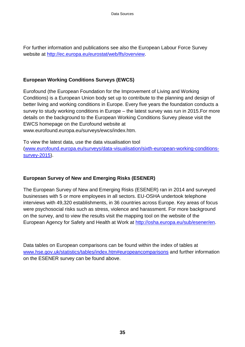For further information and publications see also the European Labour Force Survey website at [http://ec.europa.eu/eurostat/web/lfs/overview.](http://ec.europa.eu/eurostat/web/lfs/overview)

#### **European Working Conditions Surveys (EWCS)**

Eurofound (the European Foundation for the Improvement of Living and Working Conditions) is a European Union body set up to contribute to the planning and design of better living and working conditions in Europe. Every five years the foundation conducts a survey to study working conditions in Europe – the latest survey was run in 2015.For more details on the background to the European Working Conditions Survey please visit the EWCS homepage on the Eurofound website at www.eurofound.europa.eu/surveys/ewcs/index.htm.

To view the latest data, use the data visualisation tool [\(www.eurofound.europa.eu/surveys/data-visualisation/sixth-european-working-conditions](http://www.eurofound.europa.eu/surveys/data-visualisation/sixth-european-working-conditions-survey-2015)[survey-2015\)](http://www.eurofound.europa.eu/surveys/data-visualisation/sixth-european-working-conditions-survey-2015).

#### **European Survey of New and Emerging Risks (ESENER)**

The European Survey of New and Emerging Risks (ESENER) ran in 2014 and surveyed businesses with 5 or more employees in all sectors. EU-OSHA undertook telephone interviews with 49,320 establishments, in 36 countries across Europe. Key areas of focus were psychosocial risks such as stress, violence and harassment. For more background on the survey, and to view the results visit the mapping tool on the website of the European Agency for Safety and Health at Work at [http://osha.europa.eu/sub/esener/en.](http://osha.europa.eu/sub/esener/en)

Data tables on European comparisons can be found within the index of tables at [www.hse.gov.uk/statistics/tables/index.htm#europeancomparisons](http://www.hse.gov.uk/statistics/tables/index.htm#europeancomparisons) and further information on the ESENER survey can be found above.